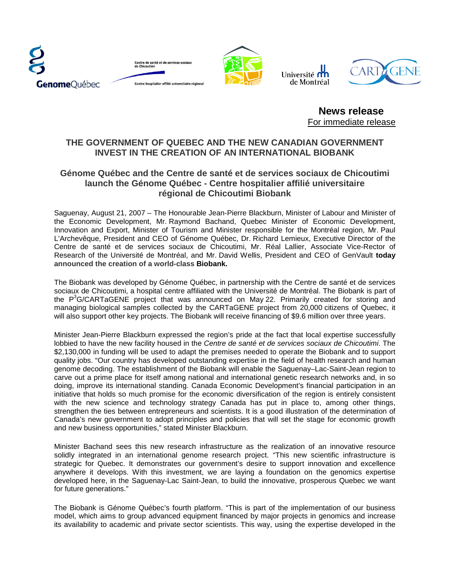





Université  $\prod_{i=1}^n$ de Montréal



**News release** For immediate release

## **THE GOVERNMENT OF QUEBEC AND THE NEW CANADIAN GOVERNMENT INVEST IN THE CREATION OF AN INTERNATIONAL BIOBANK**

## **Génome Québec and the Centre de santé et de services sociaux de Chicoutimi launch the Génome Québec - Centre hospitalier affilié universitaire régional de Chicoutimi Biobank**

Saguenay, August 21, 2007 – The Honourable Jean-Pierre Blackburn, Minister of Labour and Minister of the Economic Development, Mr. Raymond Bachand, Quebec Minister of Economic Development, Innovation and Export, Minister of Tourism and Minister responsible for the Montréal region, Mr. Paul L'Archevêque, President and CEO of Génome Québec, Dr. Richard Lemieux, Executive Director of the Centre de santé et de services sociaux de Chicoutimi, Mr. Réal Lallier, Associate Vice-Rector of Research of the Université de Montréal, and Mr. David Wellis, President and CEO of GenVault **today announced the creation of a world-class Biobank.**

The Biobank was developed by Génome Québec, in partnership with the Centre de santé et de services sociaux de Chicoutimi, a hospital centre affiliated with the Université de Montréal. The Biobank is part of the  $P^3G/CARTaGENE$  project that was announced on May 22. Primarily created for storing and managing biological samples collected by the CARTaGENE project from 20,000 citizens of Quebec, it will also support other key projects. The Biobank will receive financing of \$9.6 million over three years.

Minister Jean-Pierre Blackburn expressed the region's pride at the fact that local expertise successfully lobbied to have the new facility housed in the *Centre de santé et de services sociaux de Chicoutimi*. The \$2,130,000 in funding will be used to adapt the premises needed to operate the Biobank and to support quality jobs. "Our country has developed outstanding expertise in the field of health research and human genome decoding. The establishment of the Biobank will enable the Saguenay–Lac-Saint-Jean region to carve out a prime place for itself among national and international genetic research networks and, in so doing, improve its international standing. Canada Economic Development's financial participation in an initiative that holds so much promise for the economic diversification of the region is entirely consistent with the new science and technology strategy Canada has put in place to, among other things, strengthen the ties between entrepreneurs and scientists. It is a good illustration of the determination of Canada's new government to adopt principles and policies that will set the stage for economic growth and new business opportunities," stated Minister Blackburn.

Minister Bachand sees this new research infrastructure as the realization of an innovative resource solidly integrated in an international genome research project. "This new scientific infrastructure is strategic for Quebec. It demonstrates our government's desire to support innovation and excellence anywhere it develops. With this investment, we are laying a foundation on the genomics expertise developed here, in the Saguenay-Lac Saint-Jean, to build the innovative, prosperous Quebec we want for future generations."

The Biobank is Génome Québec's fourth platform. "This is part of the implementation of our business model, which aims to group advanced equipment financed by major projects in genomics and increase its availability to academic and private sector scientists. This way, using the expertise developed in the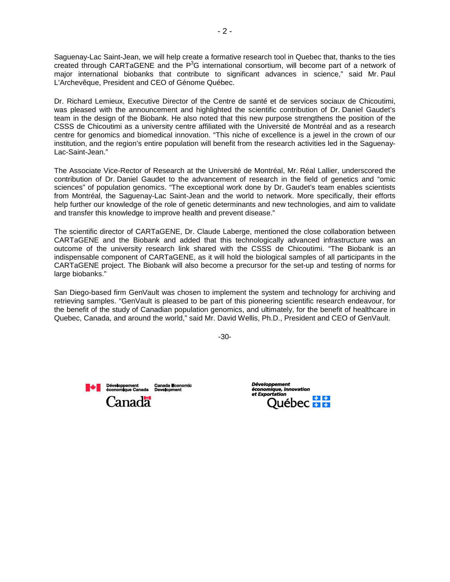Saguenay-Lac Saint-Jean, we will help create a formative research tool in Quebec that, thanks to the ties created through CARTaGENE and the  $P<sup>3</sup>G$  international consortium, will become part of a network of major international biobanks that contribute to significant advances in science," said Mr. Paul L'Archevêque, President and CEO of Génome Québec.

Dr. Richard Lemieux, Executive Director of the Centre de santé et de services sociaux de Chicoutimi, was pleased with the announcement and highlighted the scientific contribution of Dr. Daniel Gaudet's team in the design of the Biobank. He also noted that this new purpose strengthens the position of the CSSS de Chicoutimi as a university centre affiliated with the Université de Montréal and as a research centre for genomics and biomedical innovation. "This niche of excellence is a jewel in the crown of our institution, and the region's entire population will benefit from the research activities led in the Saguenay-Lac-Saint-Jean."

The Associate Vice-Rector of Research at the Université de Montréal, Mr. Réal Lallier, underscored the contribution of Dr. Daniel Gaudet to the advancement of research in the field of genetics and "omic sciences" of population genomics. "The exceptional work done by Dr. Gaudet's team enables scientists from Montréal, the Saguenay-Lac Saint-Jean and the world to network. More specifically, their efforts help further our knowledge of the role of genetic determinants and new technologies, and aim to validate and transfer this knowledge to improve health and prevent disease."

The scientific director of CARTaGENE, Dr. Claude Laberge, mentioned the close collaboration between CARTaGENE and the Biobank and added that this technologically advanced infrastructure was an outcome of the university research link shared with the CSSS de Chicoutimi. "The Biobank is an indispensable component of CARTaGENE, as it will hold the biological samples of all participants in the CARTaGENE project. The Biobank will also become a precursor for the set-up and testing of norms for large biobanks."

San Diego-based firm GenVault was chosen to implement the system and technology for archiving and retrieving samples. "GenVault is pleased to be part of this pioneering scientific research endeavour, for the benefit of the study of Canadian population genomics, and ultimately, for the benefit of healthcare in Quebec, Canada, and around the world," said Mr. David Wellis, Ph.D., President and CEO of GenVault.

-30-



 $\triangle$ bec $\frac{1}{2}$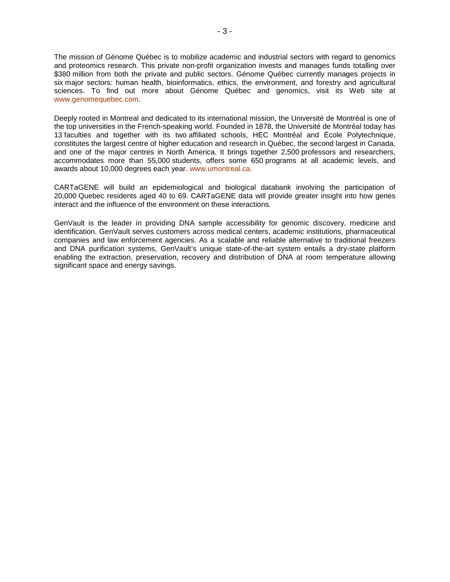The mission of Génome Québec is to mobilize academic and industrial sectors with regard to genomics and proteomics research. This private non-profit organization invests and manages funds totalling over \$380 million from both the private and public sectors. Génome Québec currently manages projects in six major sectors: human health, bioinformatics, ethics, the environment, and forestry and agricultural sciences. To find out more about Génome Québec and genomics, visit its Web site at [www.genomequebec.com.](http://www.genomequebec.com/)

Deeply rooted in Montreal and dedicated to its international mission, the Université de Montréal is one of the top universities in the French-speaking world. Founded in 1878, the Université de Montréal today has 13 faculties and together with its two affiliated schools, HEC Montréal and École Polytechnique, constitutes the largest centre of higher education and research in Québec, the second largest in Canada, and one of the major centres in North America. It brings together 2,500 professors and researchers, accommodates more than 55,000 students, offers some 650 programs at all academic levels, and awards about 10,000 degrees each year. [www.umontreal.ca](http://www.umontreal.ca/).

CARTaGENE will build an epidemiological and biological databank involving the participation of 20,000 Quebec residents aged 40 to 69. CARTaGENE data will provide greater insight into how genes interact and the influence of the environment on these interactions.

GenVault is the leader in providing DNA sample accessibility for genomic discovery, medicine and identification. GenVault serves customers across medical centers, academic institutions, pharmaceutical companies and law enforcement agencies. As a scalable and reliable alternative to traditional freezers and DNA purification systems, GenVault's unique state-of-the-art system entails a dry-state platform enabling the extraction, preservation, recovery and distribution of DNA at room temperature allowing significant space and energy savings.